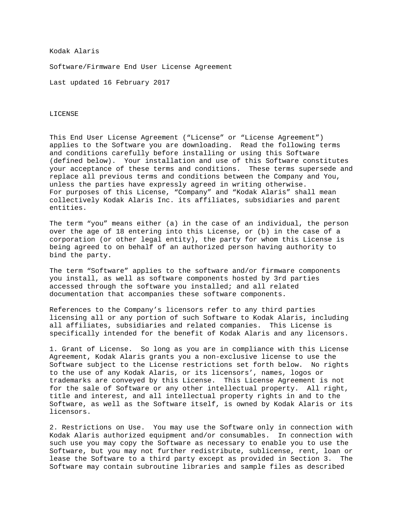## Kodak Alaris

Software/Firmware End User License Agreement

Last updated 16 February 2017

## LICENSE

This End User License Agreement ("License" or "License Agreement") applies to the Software you are downloading. Read the following terms and conditions carefully before installing or using this Software (defined below). Your installation and use of this Software constitutes your acceptance of these terms and conditions. These terms supersede and replace all previous terms and conditions between the Company and You, unless the parties have expressly agreed in writing otherwise. For purposes of this License, "Company" and "Kodak Alaris" shall mean collectively Kodak Alaris Inc. its affiliates, subsidiaries and parent entities.

The term "you" means either (a) in the case of an individual, the person over the age of 18 entering into this License, or (b) in the case of a corporation (or other legal entity), the party for whom this License is being agreed to on behalf of an authorized person having authority to bind the party.

The term "Software" applies to the software and/or firmware components you install, as well as software components hosted by 3rd parties accessed through the software you installed; and all related documentation that accompanies these software components.

References to the Company's licensors refer to any third parties licensing all or any portion of such Software to Kodak Alaris, including all affiliates, subsidiaries and related companies. This License is specifically intended for the benefit of Kodak Alaris and any licensors.

1. Grant of License. So long as you are in compliance with this License Agreement, Kodak Alaris grants you a non-exclusive license to use the Software subject to the License restrictions set forth below. No rights to the use of any Kodak Alaris, or its licensors', names, logos or trademarks are conveyed by this License. This License Agreement is not for the sale of Software or any other intellectual property. All right, title and interest, and all intellectual property rights in and to the Software, as well as the Software itself, is owned by Kodak Alaris or its licensors.

2. Restrictions on Use. You may use the Software only in connection with Kodak Alaris authorized equipment and/or consumables. In connection with such use you may copy the Software as necessary to enable you to use the Software, but you may not further redistribute, sublicense, rent, loan or lease the Software to a third party except as provided in Section 3. The Software may contain subroutine libraries and sample files as described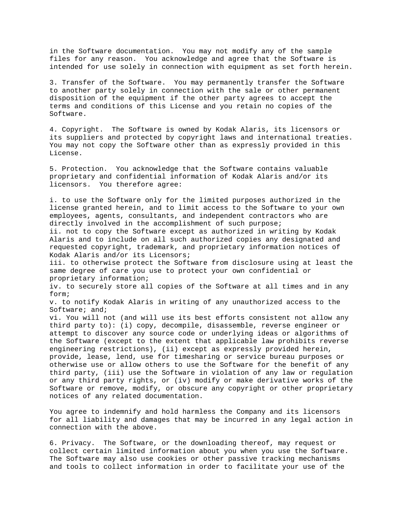in the Software documentation. You may not modify any of the sample files for any reason. You acknowledge and agree that the Software is intended for use solely in connection with equipment as set forth herein.

3. Transfer of the Software. You may permanently transfer the Software to another party solely in connection with the sale or other permanent disposition of the equipment if the other party agrees to accept the terms and conditions of this License and you retain no copies of the Software.

4. Copyright. The Software is owned by Kodak Alaris, its licensors or its suppliers and protected by copyright laws and international treaties. You may not copy the Software other than as expressly provided in this License.

5. Protection. You acknowledge that the Software contains valuable proprietary and confidential information of Kodak Alaris and/or its licensors. You therefore agree:

i. to use the Software only for the limited purposes authorized in the license granted herein, and to limit access to the Software to your own employees, agents, consultants, and independent contractors who are directly involved in the accomplishment of such purpose;

ii. not to copy the Software except as authorized in writing by Kodak Alaris and to include on all such authorized copies any designated and requested copyright, trademark, and proprietary information notices of Kodak Alaris and/or its Licensors;

iii. to otherwise protect the Software from disclosure using at least the same degree of care you use to protect your own confidential or proprietary information;

iv. to securely store all copies of the Software at all times and in any form;

v. to notify Kodak Alaris in writing of any unauthorized access to the Software; and;

vi. You will not (and will use its best efforts consistent not allow any third party to): (i) copy, decompile, disassemble, reverse engineer or attempt to discover any source code or underlying ideas or algorithms of the Software (except to the extent that applicable law prohibits reverse engineering restrictions), (ii) except as expressly provided herein, provide, lease, lend, use for timesharing or service bureau purposes or otherwise use or allow others to use the Software for the benefit of any third party, (iii) use the Software in violation of any law or regulation or any third party rights, or (iv) modify or make derivative works of the Software or remove, modify, or obscure any copyright or other proprietary notices of any related documentation.

You agree to indemnify and hold harmless the Company and its licensors for all liability and damages that may be incurred in any legal action in connection with the above.

6. Privacy. The Software, or the downloading thereof, may request or collect certain limited information about you when you use the Software. The Software may also use cookies or other passive tracking mechanisms and tools to collect information in order to facilitate your use of the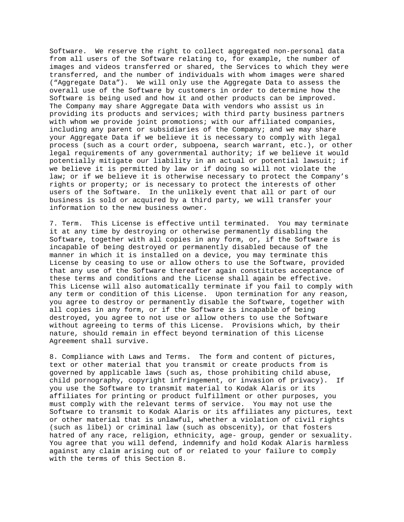Software. We reserve the right to collect aggregated non-personal data from all users of the Software relating to, for example, the number of images and videos transferred or shared, the Services to which they were transferred, and the number of individuals with whom images were shared ("Aggregate Data"). We will only use the Aggregate Data to assess the overall use of the Software by customers in order to determine how the Software is being used and how it and other products can be improved. The Company may share Aggregate Data with vendors who assist us in providing its products and services; with third party business partners with whom we provide joint promotions; with our affiliated companies, including any parent or subsidiaries of the Company; and we may share your Aggregate Data if we believe it is necessary to comply with legal process (such as a court order, subpoena, search warrant, etc.), or other legal requirements of any governmental authority; if we believe it would potentially mitigate our liability in an actual or potential lawsuit; if we believe it is permitted by law or if doing so will not violate the law; or if we believe it is otherwise necessary to protect the Company's rights or property; or is necessary to protect the interests of other users of the Software. In the unlikely event that all or part of our business is sold or acquired by a third party, we will transfer your information to the new business owner.

7. Term. This License is effective until terminated. You may terminate it at any time by destroying or otherwise permanently disabling the Software, together with all copies in any form, or, if the Software is incapable of being destroyed or permanently disabled because of the manner in which it is installed on a device, you may terminate this License by ceasing to use or allow others to use the Software, provided that any use of the Software thereafter again constitutes acceptance of these terms and conditions and the License shall again be effective. This License will also automatically terminate if you fail to comply with any term or condition of this License. Upon termination for any reason, you agree to destroy or permanently disable the Software, together with all copies in any form, or if the Software is incapable of being destroyed, you agree to not use or allow others to use the Software without agreeing to terms of this License. Provisions which, by their nature, should remain in effect beyond termination of this License Agreement shall survive.

8. Compliance with Laws and Terms. The form and content of pictures, text or other material that you transmit or create products from is governed by applicable laws (such as, those prohibiting child abuse, child pornography, copyright infringement, or invasion of privacy). If you use the Software to transmit material to Kodak Alaris or its affiliates for printing or product fulfillment or other purposes, you must comply with the relevant terms of service. You may not use the Software to transmit to Kodak Alaris or its affiliates any pictures, text or other material that is unlawful, whether a violation of civil rights (such as libel) or criminal law (such as obscenity), or that fosters hatred of any race, religion, ethnicity, age- group, gender or sexuality. You agree that you will defend, indemnify and hold Kodak Alaris harmless against any claim arising out of or related to your failure to comply with the terms of this Section 8.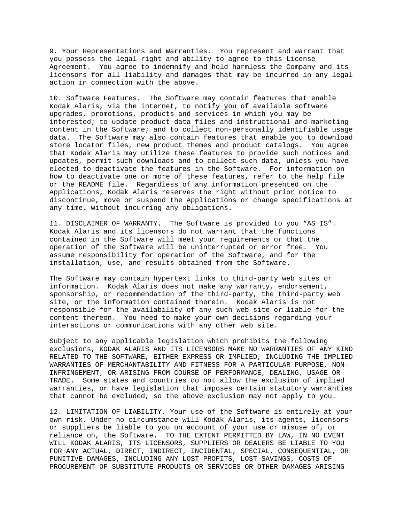9. Your Representations and Warranties. You represent and warrant that you possess the legal right and ability to agree to this License Agreement. You agree to indemnify and hold harmless the Company and its licensors for all liability and damages that may be incurred in any legal action in connection with the above.

10. Software Features. The Software may contain features that enable Kodak Alaris, via the internet, to notify you of available software upgrades, promotions, products and services in which you may be interested; to update product data files and instructional and marketing content in the Software; and to collect non-personally identifiable usage data. The Software may also contain features that enable you to download store locator files, new product themes and product catalogs. You agree that Kodak Alaris may utilize these features to provide such notices and updates, permit such downloads and to collect such data, unless you have elected to deactivate the features in the Software. For information on how to deactivate one or more of these features, refer to the help file or the README file. Regardless of any information presented on the Applications, Kodak Alaris reserves the right without prior notice to discontinue, move or suspend the Applications or change specifications at any time, without incurring any obligations.

11. DISCLAIMER OF WARRANTY. The Software is provided to you "AS IS". Kodak Alaris and its licensors do not warrant that the functions contained in the Software will meet your requirements or that the operation of the Software will be uninterrupted or error free. You assume responsibility for operation of the Software, and for the installation, use, and results obtained from the Software.

The Software may contain hypertext links to third-party web sites or information. Kodak Alaris does not make any warranty, endorsement, sponsorship, or recommendation of the third-party, the third-party web site, or the information contained therein. Kodak Alaris is not responsible for the availability of any such web site or liable for the content thereon. You need to make your own decisions regarding your interactions or communications with any other web site.

Subject to any applicable legislation which prohibits the following exclusions, KODAK ALARIS AND ITS LICENSORS MAKE NO WARRANTIES OF ANY KIND RELATED TO THE SOFTWARE, EITHER EXPRESS OR IMPLIED, INCLUDING THE IMPLIED WARRANTIES OF MERCHANTABILITY AND FITNESS FOR A PARTICULAR PURPOSE, NON-INFRINGEMENT, OR ARISING FROM COURSE OF PERFORMANCE, DEALING, USAGE OR TRADE. Some states and countries do not allow the exclusion of implied warranties, or have legislation that imposes certain statutory warranties that cannot be excluded, so the above exclusion may not apply to you.

12. LIMITATION OF LIABILITY. Your use of the Software is entirely at your own risk. Under no circumstance will Kodak Alaris, its agents, licensors or suppliers be liable to you on account of your use or misuse of, or reliance on, the Software. TO THE EXTENT PERMITTED BY LAW, IN NO EVENT WILL KODAK ALARIS, ITS LICENSORS, SUPPLIERS OR DEALERS BE LIABLE TO YOU FOR ANY ACTUAL, DIRECT, INDIRECT, INCIDENTAL, SPECIAL, CONSEQUENTIAL, OR PUNITIVE DAMAGES, INCLUDING ANY LOST PROFITS, LOST SAVINGS, COSTS OF PROCUREMENT OF SUBSTITUTE PRODUCTS OR SERVICES OR OTHER DAMAGES ARISING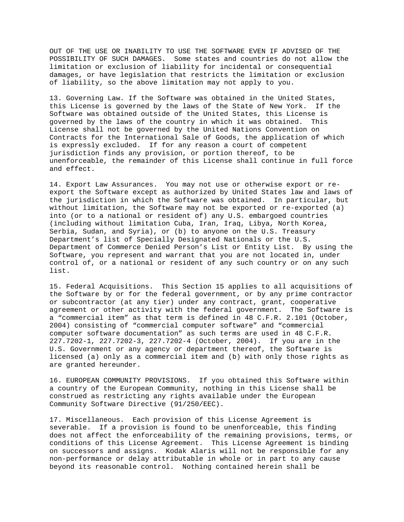OUT OF THE USE OR INABILITY TO USE THE SOFTWARE EVEN IF ADVISED OF THE POSSIBILITY OF SUCH DAMAGES. Some states and countries do not allow the limitation or exclusion of liability for incidental or consequential damages, or have legislation that restricts the limitation or exclusion of liability, so the above limitation may not apply to you.

13. Governing Law. If the Software was obtained in the United States, this License is governed by the laws of the State of New York. If the Software was obtained outside of the United States, this License is governed by the laws of the country in which it was obtained. This License shall not be governed by the United Nations Convention on Contracts for the International Sale of Goods, the application of which is expressly excluded. If for any reason a court of competent jurisdiction finds any provision, or portion thereof, to be unenforceable, the remainder of this License shall continue in full force and effect.

14. Export Law Assurances. You may not use or otherwise export or reexport the Software except as authorized by United States law and laws of the jurisdiction in which the Software was obtained. In particular, but without limitation, the Software may not be exported or re-exported (a) into (or to a national or resident of) any U.S. embargoed countries (including without limitation Cuba, Iran, Iraq, Libya, North Korea, Serbia, Sudan, and Syria), or (b) to anyone on the U.S. Treasury Department's list of Specially Designated Nationals or the U.S. Department of Commerce Denied Person's List or Entity List. By using the Software, you represent and warrant that you are not located in, under control of, or a national or resident of any such country or on any such list.

15. Federal Acquisitions. This Section 15 applies to all acquisitions of the Software by or for the federal government, or by any prime contractor or subcontractor (at any tier) under any contract, grant, cooperative agreement or other activity with the federal government. The Software is a "commercial item" as that term is defined in 48 C.F.R. 2.101 (October, 2004) consisting of "commercial computer software" and "commercial computer software documentation" as such terms are used in 48 C.F.R. 227.7202-1, 227.7202-3, 227.7202-4 (October, 2004). If you are in the U.S. Government or any agency or department thereof, the Software is licensed (a) only as a commercial item and (b) with only those rights as are granted hereunder.

16. EUROPEAN COMMUNITY PROVISIONS. If you obtained this Software within a country of the European Community, nothing in this License shall be construed as restricting any rights available under the European Community Software Directive (91/250/EEC).

17. Miscellaneous. Each provision of this License Agreement is severable. If a provision is found to be unenforceable, this finding does not affect the enforceability of the remaining provisions, terms, or conditions of this License Agreement. This License Agreement is binding on successors and assigns. Kodak Alaris will not be responsible for any non-performance or delay attributable in whole or in part to any cause beyond its reasonable control. Nothing contained herein shall be